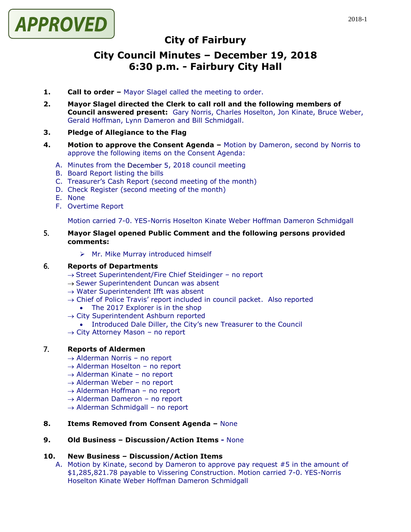

# **City of Fairbury**

# **City Council Minutes – December 19, 2018 6:30 p.m. - Fairbury City Hall**

- **1. Call to order –** Mayor Slagel called the meeting to order.
- **2. Mayor Slagel directed the Clerk to call roll and the following members of Council answered present:** Gary Norris, Charles Hoselton, Jon Kinate, Bruce Weber, Gerald Hoffman, Lynn Dameron and Bill Schmidgall.
- **3. Pledge of Allegiance to the Flag**
- **4. Motion to approve the Consent Agenda –** Motion by Dameron, second by Norris to approve the following items on the Consent Agenda:
	- A. Minutes from the December 5, 2018 council meeting
	- B. Board Report listing the bills
	- C. Treasurer's Cash Report (second meeting of the month)
	- D. Check Register (second meeting of the month)
	- E. None
	- F. Overtime Report

Motion carried 7-0. YES-Norris Hoselton Kinate Weber Hoffman Dameron Schmidgall

#### 5. **Mayor Slagel opened Public Comment and the following persons provided comments:**

➢ Mr. Mike Murray introduced himself

## 6. **Reports of Departments**

- $\rightarrow$  Street Superintendent/Fire Chief Steidinger no report
- → Sewer Superintendent Duncan was absent
- $\rightarrow$  Water Superintendent Ifft was absent
- → Chief of Police Travis' report included in council packet. Also reported
	- The 2017 Explorer is in the shop
- $\rightarrow$  City Superintendent Ashburn reported
	- Introduced Dale Diller, the City's new Treasurer to the Council
- → City Attorney Mason no report

#### 7. **Reports of Aldermen**

- $\rightarrow$  Alderman Norris no report
- $\rightarrow$  Alderman Hoselton no report
- $\rightarrow$  Alderman Kinate no report
- $\rightarrow$  Alderman Weber no report
- $\rightarrow$  Alderman Hoffman no report
- $\rightarrow$  Alderman Dameron no report
- $\rightarrow$  Alderman Schmidgall no report

#### **8. Items Removed from Consent Agenda –** None

## **9. Old Business – Discussion/Action Items -** None

#### **10. New Business – Discussion/Action Items**

A. Motion by Kinate, second by Dameron to approve pay request #5 in the amount of \$1,285,821.78 payable to Vissering Construction. Motion carried 7-0. YES-Norris Hoselton Kinate Weber Hoffman Dameron Schmidgall